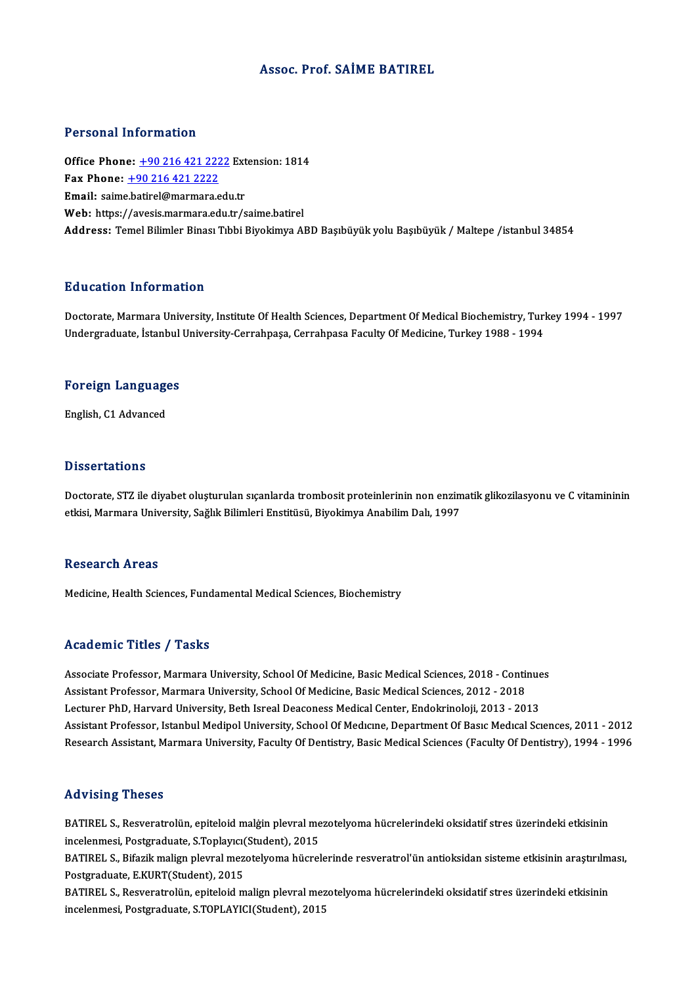### Assoc. Prof. SAİME BATIREL

#### Personal Information

Office Phone: +90 216 421 2222 Extension: 1814 Fax Phone: <u>+90 216 421 222</u><br>Fax Phone: <u>+90 216 421 2222</u><br>Fmail: saime batirel@marmare.c Office Phone:  $\pm 90$  216 421 2222 Ext<br>Fax Phone:  $\pm 90$  216 421 2222<br>Email: saim[e.batirel@marmara.edu](tel:+90 216 421 2222).tr Email: saime.batirel@marmara.edu.tr<br>Web: https://avesis.marmara.edu.tr/saime.batirel Address: Temel Bilimler Binası Tıbbi Biyokimya ABD Başıbüyük yolu Başıbüyük / Maltepe /istanbul 34854

### Education Information

Doctorate, Marmara University, Institute Of Health Sciences, Department Of Medical Biochemistry, Turkey 1994 - 1997 Undergraduate, İstanbul University-Cerrahpaşa, Cerrahpasa Faculty Of Medicine, Turkey 1988 - 1994

# <sub>ondergraduate, istanbul</sub><br>Foreign Languages F<mark>oreign Languag</mark>e<br>English, C1 Advanced

English, C1 Advanced<br>Dissertations

Dissertations<br>Doctorate, STZ ile diyabet oluşturulan sıçanlarda trombosit proteinlerinin non enzimatik glikozilasyonu ve C vitamininin<br>etkisi Marmara University, Sağlık Bilimleri Enstitüsü, Biyokimya Anabilim Dah 1997 e 1999't catrono<br>Doctorate, STZ ile diyabet oluşturulan sıçanlarda trombosit proteinlerinin non enzim<br>etkisi, Marmara University, Sağlık Bilimleri Enstitüsü, Biyokimya Anabilim Dalı, 1997 etkisi, Marmara University, Sağlık Bilimleri Enstitüsü, Biyokimya Anabilim Dalı, 1997<br>Research Areas

Medicine, Health Sciences, Fundamental Medical Sciences, Biochemistry

#### Academic Titles / Tasks

Academic Titles / Tasks<br>Associate Professor, Marmara University, School Of Medicine, Basic Medical Sciences, 2018 - Continues<br>Assistant Professor, Marmara University, School Of Medicine, Basis Medical Sciences, 2013 - 2019 Associate Professor, Marmara University, School Of Medicine, Basic Medical Sciences, 2018 - Contin<br>Assistant Professor, Marmara University, School Of Medicine, Basic Medical Sciences, 2012 - 2018<br>Lecturer PhD, Harvard Univ Associate Professor, Marmara University, School Of Medicine, Basic Medical Sciences, 2018 - Continue<br>Assistant Professor, Marmara University, School Of Medicine, Basic Medical Sciences, 2012 - 2018<br>Lecturer PhD, Harvard Un Assistant Professor, Marmara University, School Of Medicine, Basic Medical Sciences, 2012 - 2018<br>Lecturer PhD, Harvard University, Beth Isreal Deaconess Medical Center, Endokrinoloji, 2013 - 2013<br>Assistant Professor, Istan Lecturer PhD, Harvard University, Beth Isreal Deaconess Medical Center, Endokrinoloji, 2013 - 2013<br>Assistant Professor, Istanbul Medipol University, School Of Medicine, Department Of Basic Medical Sciences, 2011 - 2012<br>Res Research Assistant, Marmara University, Faculty Of Dentistry, Basic Medical Sciences (Faculty Of Dentistry), 1994 - 1996<br>Advising Theses

Advising Theses<br>BATIREL S., Resveratrolün, epiteloid malģin plevral mezotelyoma hücrelerindeki oksidatif stres üzerindeki etkisinin<br>inselenmesi, Resveratyata, S.Tonkung (Student), 2015 incelenmesi, Presses<br>BATIREL S., Resveratrolün, epiteloid malgin plevral me<br>incelenmesi, Postgraduate, S.Toplayıcı(Student), 2015<br>BATIBEL S. Bifazik malign plevral mezatektorus bügrel BATIREL S., Resveratrolün, epiteloid malgin plevral mezotelyoma hücrelerindeki oksidatif stres üzerindeki etkisinin<br>incelenmesi, Postgraduate, S.Toplayıcı(Student), 2015<br>BATIREL S., Bifazik malign plevral mezotelyoma hücre

incelenmesi, Postgraduate, S.Toplayıcı(Student), 2015<br>BATIREL S., Bifazik malign plevral mezotelyoma hücrelerinde resveratrol'ün antioksidan sisteme etkisinin araştırılm<br>Postgraduate, E.KURT(Student), 2015<br>BATIREL S., Resv BATIREL S., Bifazik malign plevral mezotelyoma hücrelerinde resveratrol'ün antioksidan sisteme etkisinin araştırılm<br>Postgraduate, E.KURT(Student), 2015<br>BATIREL S., Resveratrolün, epiteloid malign plevral mezotelyoma hücrel

incelenmesi, Postgraduate, S.TOPLAYICI(Student), 2015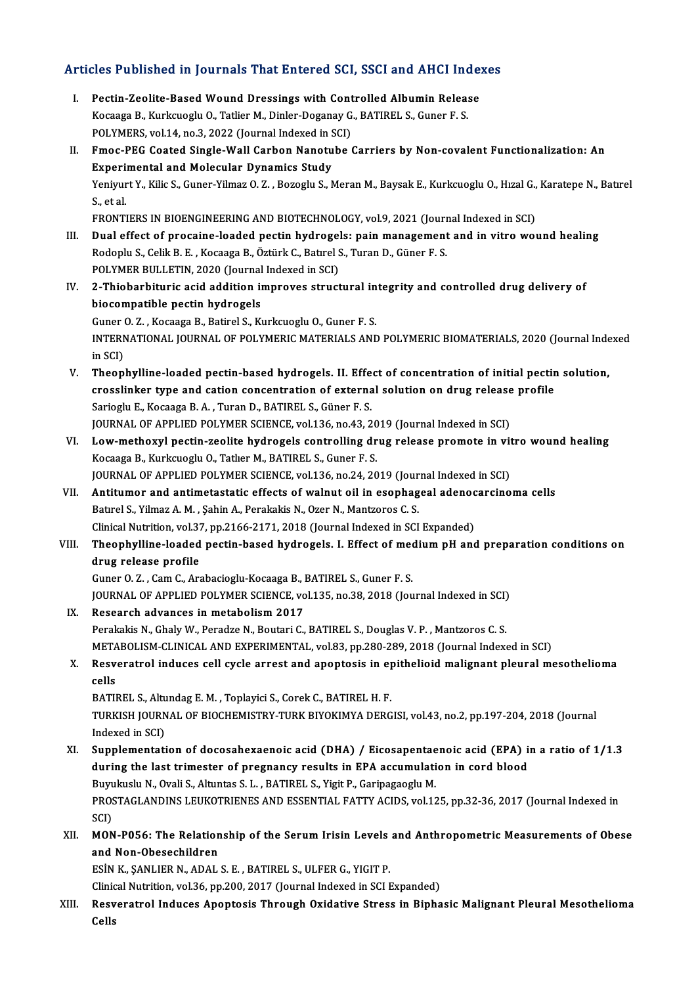# Articles Published in Journals That Entered SCI, SSCI and AHCI Indexes

rticles Published in Journals That Entered SCI, SSCI and AHCI Index<br>I. Pectin-Zeolite-Based Wound Dressings with Controlled Albumin Release<br>Keepese B. Kurksueslu O. Tetlier M. Dipler Desenau G. BATIBELS, Cuner E.S. I. Pectin-Zeolite-Based Wound Dressings with Controlled Albumin Release<br>Kocaaga B., Kurkcuoglu O., Tatlier M., Dinler-Doganay G., BATIREL S., Guner F. S. Pectin-Zeolite-Based Wound Dressings with Cont<br>Kocaaga B., Kurkcuoglu O., Tatlier M., Dinler-Doganay G<br>POLYMERS, vol.14, no.3, 2022 (Journal Indexed in SCI)<br>Emas BEC Coated Single Wall Carbon Nanotube ( II. Fmoc-PEG Coated Single-Wall Carbon Nanotube Carriers by Non-covalent Functionalization: An<br>Experimental and Molecular Dynamics Study POLYMERS, vol.14, no.3, 2022 (Journal Indexed in S<br>Fmoc-PEG Coated Single-Wall Carbon Nanotu<br>Experimental and Molecular Dynamics Study<br>Voninut V, Kilja S, Cuner Vilmer O, 7 , Bereglu S, N Fmoc-PEG Coated Single-Wall Carbon Nanotube Carriers by Non-covalent Functionalization: An<br>Experimental and Molecular Dynamics Study<br>Yeniyurt Y., Kilic S., Guner-Yilmaz O. Z. , Bozoglu S., Meran M., Baysak E., Kurkcuoglu O Experi<br>Yeniyur<br>S., et al.<br>ERONTI Yeniyurt Y., Kilic S., Guner-Yilmaz O. Z. , Bozoglu S., Meran M., Baysak E., Kurkcuoglu O., Hızal G.,<br>S., et al.<br>FRONTIERS IN BIOENGINEERING AND BIOTECHNOLOGY, vol.9, 2021 (Journal Indexed in SCI)<br>Dual effect of pressine l S., et al.<br>FRONTIERS IN BIOENGINEERING AND BIOTECHNOLOGY, vol.9, 2021 (Journal Indexed in SCI)<br>III. Dual effect of procaine-loaded pectin hydrogels: pain management and in vitro wound healing<br>Redeply S. Celil: B. E., Kegag FRONTIERS IN BIOENGINEERING AND BIOTECHNOLOGY, vol.9, 2021 (Journ<br>Dual effect of procaine-loaded pectin hydrogels: pain management<br>Rodoplu S., Celik B. E. , Kocaaga B., Öztürk C., Batırel S., Turan D., Güner F. S.<br>POLYMER Dual effect of procaine-loaded pectin hydrogel<br>Rodoplu S., Celik B. E. , Kocaaga B., Öztürk C., Batırel S<br>POLYMER BULLETIN, 2020 (Journal Indexed in SCI)<br>2. Thiobarhituris asid addition improves struct Rodoplu S., Celik B. E. , Kocaaga B., Öztürk C., Batırel S., Turan D., Güner F. S.<br>POLYMER BULLETIN, 2020 (Journal Indexed in SCI)<br>IV. 2-Thiobarbituric acid addition improves structural integrity and controlled drug delive POLYMER BULLETIN, 2020 (Journal<br>2-Thiobarbituric acid addition in<br>biocompatible pectin hydrogels<br>Cuper 0.7 - Kosassa B. Batirol S. K. 2-Thiobarbituric acid addition improves structural in<br>biocompatible pectin hydrogels<br>Guner O. Z. , Kocaaga B., Batirel S., Kurkcuoglu O., Guner F. S.<br>INTERNATIONAL JOURNAL OF POLYMERIC MATERIALS AND biocompatible pectin hydrogels<br>Guner O. Z. , Kocaaga B., Batirel S., Kurkcuoglu O., Guner F. S.<br>INTERNATIONAL JOURNAL OF POLYMERIC MATERIALS AND POLYMERIC BIOMATERIALS, 2020 (Journal Indexed<br>in SCD Guner<br>INTERN<br>in SCI)<br>Theon INTERNATIONAL JOURNAL OF POLYMERIC MATERIALS AND POLYMERIC BIOMATERIALS, 2020 (Journal Inde<br>in SCI)<br>V. Theophylline-loaded pectin-based hydrogels. II. Effect of concentration of initial pectin solution,<br>are calinhar time a in SCI)<br>Theophylline-loaded pectin-based hydrogels. II. Effect of concentration of initial pectin<br>crosslinker type and cation concentration of external solution on drug release profile<br>Sariagly E. Kossage B.A., Turen D. BA Theophylline-loaded pectin-based hydrogels. II. Effe<br>crosslinker type and cation concentration of externa<br>Sarioglu E., Kocaaga B.A. , Turan D., BATIREL S., Güner F.S.<br>JOUPMAL OF APPLIED POLYMER SCIENCE vol 126, De 42, 2 crosslinker type and cation concentration of external solution on drug release<br>Sarioglu E., Kocaaga B. A. , Turan D., BATIREL S., Güner F. S.<br>JOURNAL OF APPLIED POLYMER SCIENCE, vol.136, no.43, 2019 (Journal Indexed in SCI Sarioglu E., Kocaaga B. A. , Turan D., BATIREL S., Güner F. S.<br>JOURNAL OF APPLIED POLYMER SCIENCE, vol.136, no.43, 2019 (Journal Indexed in SCI)<br>VI. Low-methoxyl pectin-zeolite hydrogels controlling drug release promote in JOURNAL OF APPLIED POLYMER SCIENCE, vol.136, no.43, 20<br>Low-methoxyl pectin-zeolite hydrogels controlling dr<br>Kocaaga B., Kurkcuoglu O., Tatlıer M., BATIREL S., Guner F. S.<br>JOURNAL OF APPLIED POLYMER SCIENCE vol.136, no.24, Low-methoxyl pectin-zeolite hydrogels controlling drug release promote in vit<br>Kocaaga B., Kurkcuoglu O., Tatlıer M., BATIREL S., Guner F. S.<br>JOURNAL OF APPLIED POLYMER SCIENCE, vol.136, no.24, 2019 (Journal Indexed in SCI) Kocaaga B., Kurkcuoglu O., Tatlier M., BATIREL S., Guner F. S.<br>JOURNAL OF APPLIED POLYMER SCIENCE, vol.136, no.24, 2019 (Journal Indexed in SCI)<br>VII. Antitumor and antimetastatic effects of walnut oil in esophageal adenoca JOURNAL OF APPLIED POLYMER SCIENCE, vol.136, no.24, 2019 (Journal and antimetastatic effects of walnut oil in esophaged by Batırel S., Yilmaz A.M., Şahin A., Perakakis N., Ozer N., Mantzoros C.S. Antitumor and antimetastatic effects of walnut oil in esophageal adenoc<br>Batırel S., Yilmaz A. M. , Şahin A., Perakakis N., Ozer N., Mantzoros C. S.<br>Clinical Nutrition, vol.37, pp.2166-2171, 2018 (Journal Indexed in SCI Exp Batırel S., Yilmaz A. M. , Şahin A., Perakakis N., Ozer N., Mantzoros C. S.<br>Clinical Nutrition, vol.37, pp.2166-2171, 2018 (Journal Indexed in SCI Expanded)<br>VIII. Theophylline-loaded pectin-based hydrogels. I. Effect o Clinical Nutrition, vol.37<br>Theophylline-loaded<br>drug release profile<br>Cuner 0.7 - Cam C - Ar Theophylline-loaded pectin-based hydrogels. I. Effect of med<br>drug release profile<br>Guner O. Z. , Cam C., Arabacioglu-Kocaaga B., BATIREL S., Guner F. S.<br>JOUPMAL OF APPLIED POLYMER SCIENCE vol.135, no.22, 2019 (Jou drug release profile<br>Guner O. Z. , Cam C., Arabacioglu-Kocaaga B., BATIREL S., Guner F. S.<br>JOURNAL OF APPLIED POLYMER SCIENCE, vol.135, no.38, 2018 (Journal Indexed in SCI)<br>Researsh advances in metabelism 2017 Guner O. Z., Cam C., Arabacioglu-Kocaaga B., J<br>JOURNAL OF APPLIED POLYMER SCIENCE, vo<br>IX. Research advances in metabolism 2017 JOURNAL OF APPLIED POLYMER SCIENCE, vol.135, no.38, 2018 (Journal Indexed in SCI)<br>Research advances in metabolism 2017<br>Perakakis N., Ghaly W., Peradze N., Boutari C., BATIREL S., Douglas V. P. , Mantzoros C. S.<br>METAPOLISM IX. Research advances in metabolism 2017<br>Perakakis N., Ghaly W., Peradze N., Boutari C., BATIREL S., Douglas V. P. , Mantzoros C. S.<br>METABOLISM-CLINICAL AND EXPERIMENTAL, vol.83, pp.280-289, 2018 (Journal Indexed in SCI) Perakakis N., Ghaly W., Peradze N., Boutari C., BATIREL S., Douglas V. P. , Mantzoros C. S.<br>METABOLISM-CLINICAL AND EXPERIMENTAL, vol.83, pp.280-289, 2018 (Journal Indexed in SCI)<br>X. Resveratrol induces cell cycle arrest a META<br>Resv<br>cells<br>PATII Resveratrol induces cell cycle arrest and apoptosis in e<sub>l</sub><br>cells<br>BATIREL S., Altundag E. M. , Toplayici S., Corek C., BATIREL H. F.<br>TURKISH JOURNAL OF RIOCHEMISTRY TURK BIVOKIMYA DERC BATIREL S., Altundag E. M., Toplayici S., Corek C., BATIREL H. F.

cells<br>BATIREL S., Altundag E. M. , Toplayici S., Corek C., BATIREL H. F.<br>TURKISH JOURNAL OF BIOCHEMISTRY-TURK BIYOKIMYA DERGISI, vol.43, no.2, pp.197-204, 2018 (Journal<br>Indexed in SCI) TURKISH JOURNAL OF BIOCHEMISTRY-TURK BIYOKIMYA DERGISI, vol.43, no.2, pp.197-204, 2018 (Journal<br>Indexed in SCI)<br>XI. Supplementation of docosahexaenoic acid (DHA) / Eicosapentaenoic acid (EPA) in a ratio of 1/1.3<br>during the

Indexed in SCI)<br>Supplementation of docosahexaenoic acid (DHA) / Eicosapentaenoic acid (EPA) in<br>during the last trimester of pregnancy results in EPA accumulation in cord blood<br>Burylardy N. Orali S. Alturtes S. L. BATIBELS, Supplementation of docosahexaenoic acid (DHA) / Eicosapentae<br>during the last trimester of pregnancy results in EPA accumulati<br>Buyukuslu N., Ovali S., Altuntas S. L. , BATIREL S., Yigit P., Garipagaoglu M.<br>PROSTACLANDINS LE during the last trimester of pregnancy results in EPA accumulation in cord blood<br>Buyukuslu N., Ovali S., Altuntas S. L. , BATIREL S., Yigit P., Garipagaoglu M.<br>PROSTAGLANDINS LEUKOTRIENES AND ESSENTIAL FATTY ACIDS, vol.125 Buyukuslu N., Ovali S., Altuntas S. L., BATIREL S., Yigit P., Garipagaoglu M. PROSTAGLANDINS LEUKOTRIENES AND ESSENTIAL FATTY ACIDS, vol.125, pp.32-36, 2017 (Journal Indexed in<br>SCI)<br>XII. **MON-P056: The Relationship of the Serum Irisin Levels and Anthropometric Measurements of Obese**<br>and Non-Obeses b

# SCI)<br>MON-P056: The Relation<br>and Non-Obesechildren<br>ESIN K. SANLIER N. ADAL

and Non-Obesechildren<br>ESİN K., ŞANLIER N., ADAL S. E. , BATIREL S., ULFER G., YIGIT P.

Clinical Nutrition, vol.36, pp.200, 2017 (Journal Indexed in SCI Expanded)

ESİN K., ŞANLIER N., ADAL S. E. , BATIREL S., ULFER G., YIGIT P.<br>Clinical Nutrition, vol.36, pp.200, 2017 (Journal Indexed in SCI Expanded)<br>XIII. Resveratrol Induces Apoptosis Through Oxidative Stress in Biphasic Malig Clinic<br>Res<mark>v</mark><br>Cells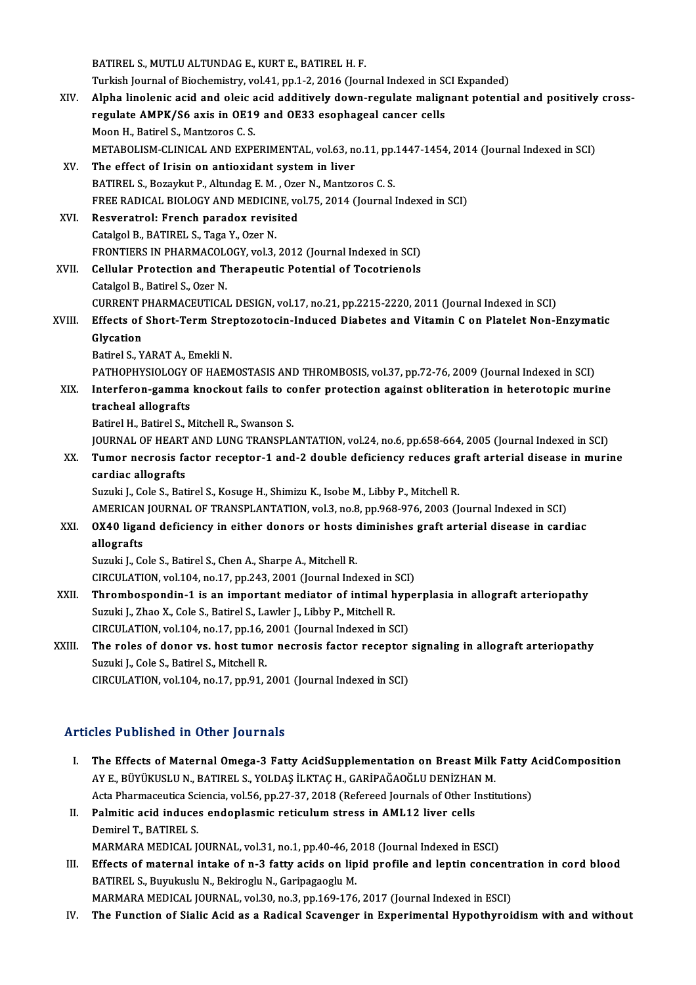|        | BATIREL S., MUTLU ALTUNDAG E., KURT E., BATIREL H. F.                                                  |
|--------|--------------------------------------------------------------------------------------------------------|
|        | Turkish Journal of Biochemistry, vol.41, pp.1-2, 2016 (Journal Indexed in SCI Expanded)                |
| XIV.   | Alpha linolenic acid and oleic acid additively down-regulate malignant potential and positively cross- |
|        | regulate AMPK/S6 axis in OE19 and OE33 esophageal cancer cells                                         |
|        | Moon H., Batirel S., Mantzoros C. S.                                                                   |
|        | METABOLISM-CLINICAL AND EXPERIMENTAL, vol.63, no.11, pp.1447-1454, 2014 (Journal Indexed in SCI)       |
| XV.    | The effect of Irisin on antioxidant system in liver                                                    |
|        | BATIREL S., Bozaykut P., Altundag E. M., Ozer N., Mantzoros C. S.                                      |
|        | FREE RADICAL BIOLOGY AND MEDICINE, vol.75, 2014 (Journal Indexed in SCI)                               |
| XVI.   | Resveratrol: French paradox revisited                                                                  |
|        | Catalgol B., BATIREL S., Taga Y., Ozer N.                                                              |
|        | FRONTIERS IN PHARMACOLOGY, vol.3, 2012 (Journal Indexed in SCI)                                        |
| XVII.  | Cellular Protection and Therapeutic Potential of Tocotrienols                                          |
|        | Catalgol B., Batirel S., Ozer N.                                                                       |
|        | CURRENT PHARMACEUTICAL DESIGN, vol.17, no.21, pp.2215-2220, 2011 (Journal Indexed in SCI)              |
| XVIII. | Effects of Short-Term Streptozotocin-Induced Diabetes and Vitamin C on Platelet Non-Enzymatic          |
|        | Glycation                                                                                              |
|        | Batirel S., YARAT A., Emekli N.                                                                        |
|        | PATHOPHYSIOLOGY OF HAEMOSTASIS AND THROMBOSIS, vol.37, pp.72-76, 2009 (Journal Indexed in SCI)         |
| XIX.   | Interferon-gamma knockout fails to confer protection against obliteration in heterotopic murine        |
|        | tracheal allografts                                                                                    |
|        | Batirel H., Batirel S., Mitchell R., Swanson S.                                                        |
|        | JOURNAL OF HEART AND LUNG TRANSPLANTATION, vol.24, no.6, pp.658-664, 2005 (Journal Indexed in SCI)     |
| XX.    | Tumor necrosis factor receptor-1 and-2 double deficiency reduces graft arterial disease in murine      |
|        | cardiac allografts                                                                                     |
|        | Suzuki J., Cole S., Batirel S., Kosuge H., Shimizu K., Isobe M., Libby P., Mitchell R.                 |
|        | AMERICAN JOURNAL OF TRANSPLANTATION, vol.3, no.8, pp.968-976, 2003 (Journal Indexed in SCI)            |
| XXI.   | OX40 ligand deficiency in either donors or hosts diminishes graft arterial disease in cardiac          |
|        | allografts                                                                                             |
|        | Suzuki J., Cole S., Batirel S., Chen A., Sharpe A., Mitchell R.                                        |
|        | CIRCULATION, vol.104, no.17, pp.243, 2001 (Journal Indexed in SCI)                                     |
| XXII.  | Thrombospondin-1 is an important mediator of intimal hyperplasia in allograft arteriopathy             |
|        | Suzuki J., Zhao X., Cole S., Batirel S., Lawler J., Libby P., Mitchell R.                              |
|        | CIRCULATION, vol.104, no.17, pp.16, 2001 (Journal Indexed in SCI)                                      |
| XXIII. | The roles of donor vs. host tumor necrosis factor receptor signaling in allograft arteriopathy         |
|        | Suzuki J., Cole S., Batirel S., Mitchell R.                                                            |
|        | CIRCULATION, vol.104, no.17, pp.91, 2001 (Journal Indexed in SCI)                                      |
|        |                                                                                                        |

## Articles Published in Other Journals

- Turicles Published in Other Journals<br>I. The Effects of Maternal Omega-3 Fatty AcidSupplementation on Breast Milk Fatty AcidComposition<br>AVE PÜVÜKUSLUN PATIRELS VOLDAS İLKTAC H-CARİBAĞAQĞLU DENİZHAN M AUS 1 dönence in Ocher Journale<br>The Effects of Maternal Omega-3 Fatty AcidSupplementation on Breast Milk<br>AYE., BÜYÜKUSLU N., BATIREL S., YOLDAŞ İLKTAÇ H., GARİPAĞAOĞLU DENİZHAN M.<br>Asta Pharmasautisa Ssiansia yol 56 nn 27 2 The Effects of Maternal Omega-3 Fatty AcidSupplementation on Breast Milk Fatty A<br>AY E., BÜYÜKUSLU N., BATIREL S., YOLDAŞ İLKTAÇ H., GARİPAĞAOĞLU DENİZHAN M.<br>Acta Pharmaceutica Sciencia, vol.56, pp.27-37, 2018 (Refereed Jou AY E., BÜYÜKUSLU N., BATIREL S., YOLDAŞ İLKTAÇ H., GARİPAĞAOĞLU DENİZHAN M.<br>Acta Pharmaceutica Sciencia, vol.56, pp.27-37, 2018 (Refereed Journals of Other Instit<br>II. Palmitic acid induces endoplasmic reticulum stress in A Acta Pharmaceutica Sciencia, vol.56, pp.27-37, 2018 (Refereed Journals of Other Institutions)
- Palmitic acid induces endoplasmic reticulum stress in AML12 liver cells<br>Demirel T., BATIREL S.<br>MARMARA MEDICAL JOURNAL, vol.31, no.1, pp.40-46, 2018 (Journal Indexed in ESCI)<br>Effects of maternal intelse of n-2 fetty aside Demirel T., BATIREL S.<br>MARMARA MEDICAL JOURNAL, vol.31, no.1, pp.40-46, 2018 (Journal Indexed in ESCI)<br>III. Effects of maternal intake of n-3 fatty acids on lipid profile and leptin concentration in cord blood<br>PATIPELS, Bu
- MARMARA MEDICAL JOURNAL, vol.31, no.1, pp.40-46, 2<br>Effects of maternal intake of n-3 fatty acids on lip<br>BATIREL S., Buyukuslu N., Bekiroglu N., Garipagaoglu M.<br>MARMARA MEDICAL JOURNAL, vol.30, no.3, nn.160,176 Effects of maternal intake of n-3 fatty acids on lipid profile and leptin concentr<br>BATIREL S., Buyukuslu N., Bekiroglu N., Garipagaoglu M.<br>MARMARA MEDICAL JOURNAL, vol.30, no.3, pp.169-176, 2017 (Journal Indexed in ESCI)<br>T BATIREL S., Buyukuslu N., Bekiroglu N., Garipagaoglu M.<br>MARMARA MEDICAL JOURNAL, vol.30, no.3, pp.169-176, 2017 (Journal Indexed in ESCI)<br>IV. The Function of Sialic Acid as a Radical Scavenger in Experimental Hypothyro
-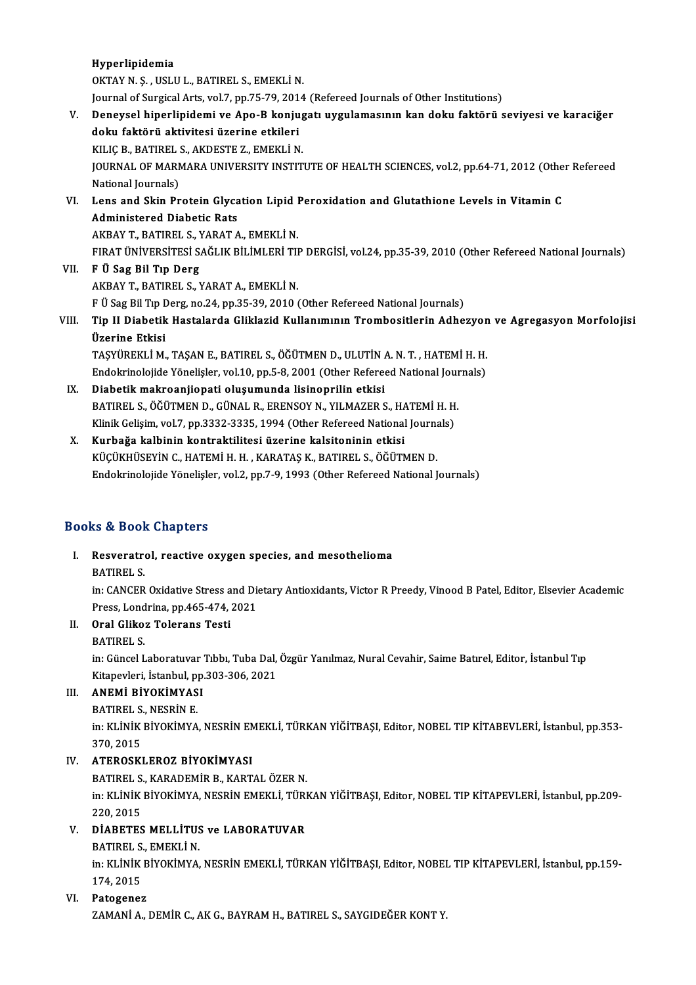Hyperlipidemia OKTAYN.Ş. ,USLUL.,BATIREL S.,EMEKLİN. Journal of Surgical Arts, vol.7, pp.75-79, 2014 (Refereed Journals of Other Institutions) OKTAY N. Ş. , USLU L., BATIREL S., EMEKLİ N.<br>Journal of Surgical Arts, vol.7, pp.75-79, 2014 (Refereed Journals of Other Institutions)<br>V. Deneysel hiperlipidemi ve Apo-B konjugatı uygulamasının kan doku faktörü seviyes Journal of Surgical Arts, vol.7, pp.75-79, 201<br>Deneysel hiperlipidemi ve Apo-B konju<br>doku faktörü aktivitesi üzerine etkileri<br>KULC B BATIBELS AKDESTE 7. EMEKLİ N Deneysel hiperlipidemi ve Apo-B konjug<br>doku faktörü aktivitesi üzerine etkileri<br>KILIÇ B., BATIREL S., AKDESTE Z., EMEKLİ N.<br>JOUPNAL OE MAPMARA UNIVERSITY INSTIT doku faktörü aktivitesi üzerine etkileri<br>KILIÇ B., BATIREL S., AKDESTE Z., EMEKLİ N.<br>JOURNAL OF MARMARA UNIVERSITY INSTITUTE OF HEALTH SCIENCES, vol.2, pp.64-71, 2012 (Other Refereed<br>National Journals) KILIÇ B., BATIREL S., AKDESTE Z., EMEKLİ N. JOURNAL OF MARMARA UNIVERSITY INSTITUTE OF HEALTH SCIENCES, vol.2, pp.64-71, 2012 (Othe<br>National Journals)<br>VI. Lens and Skin Protein Glycation Lipid Peroxidation and Glutathione Levels in Vitamin C<br>Administered Disbatis Pa National Journals)<br>Lens and Skin Protein Glyca<br>Administered Diabetic Rats<br>AKRAV T. RATIDELS, VARAT A Lens and Skin Protein Glycation Lipid I<br>Administered Diabetic Rats<br>AKBAY T., BATIREL S., YARAT A., EMEKLİ N.<br>EIPAT ÜNİVERSİTESİ SAĞLIK RİLİMLERİ TU Administered Diabetic Rats<br>AKBAY T., BATIREL S., YARAT A., EMEKLİ N.<br>FIRAT ÜNİVERSİTESİ SAĞLIK BİLİMLERİ TIP DERGİSİ, vol.24, pp.35-39, 2010 (Other Refereed National Journals) VII. F Ü Sag Bil Tıp Derg AKBAYT.,BATIREL S.,YARATA.,EMEKLİN. F Ü Sag Bil Tip Derg, no.24, pp.35-39, 2010 (Other Refereed National Journals) AKBAY T., BATIREL S., YARAT A., EMEKLİ N.<br>F Ü Sag Bil Tıp Derg, no.24, pp.35-39, 2010 (Other Refereed National Journals)<br>VIII. Tip II Diabetik Hastalarda Gliklazid Kullanımının Trombositlerin Adhezyon ve Agregasyon Mor F Ü Sag Bil Tıp I<br><mark>Tip II Diabetik</mark><br>Üzerine Etkisi<br>TASVÜREKLİ M Tip II Diabetik Hastalarda Gliklazid Kullanımının Trombositlerin Adhezyon<br>Üzerine Etkisi<br>TAŞYÜREKLİ M., TAŞAN E., BATIREL S., ÖĞÜTMEN D., ULUTİN A. N. T. , HATEMİ H. H.<br>Endelmineleiide Yönelisler vel 10. np 5.9.2001 (Other Üzerine Etkisi<br>TAŞYÜREKLİ M., TAŞAN E., BATIREL S., ÖĞÜTMEN D., ULUTİN A. N. T. , HATEMİ H. H.<br>Endokrinolojide Yönelişler, vol.10, pp.5-8, 2001 (Other Refereed National Journals)<br>Diabetik makroonijonati olusumunda lisinonr TAŞYÜREKLİ M., TAŞAN E., BATIREL S., ÖĞÜTMEN D., ULUTİN A. N. T. , HATEMİ H. H.<br>Endokrinolojide Yönelişler, vol.10, pp.5-8, 2001 (Other Refereed National Journals)<br>IX. Diabetik makroanjiopati oluşumunda lisinoprilin et

- Endokrinolojide Yönelişler, vol.10, pp.5-8, 2001 (Other Refereed National Journal Laury Diabetik makroanjiopati oluşumunda lisinoprilin etkisi<br>BATIREL S., ÖĞÜTMEN D., GÜNAL R., ERENSOY N., YILMAZER S., HATEMİ H. H.<br>Klinik Diabetik makroanjiopati oluşumunda lisinoprilin etkisi<br>BATIREL S., ÖĞÜTMEN D., GÜNAL R., ERENSOY N., YILMAZER S., HATEMİ H. H<br>Klinik Gelişim, vol.7, pp.3332-3335, 1994 (Other Refereed National Journals)<br>Kurbağa kalbinin ka BATIREL S., ÖĞÜTMEN D., GÜNAL R., ERENSOY N., YILMAZER S., H.<br>Klinik Gelişim, vol.7, pp.3332-3335, 1994 (Other Refereed National<br>X. Kurbağa kalbinin kontraktilitesi üzerine kalsitoninin etkisi
- Klinik Gelişim, vol.7, pp.3332-3335, 1994 (Other Refereed National Journals)<br>X. Kurbağa kalbinin kontraktilitesi üzerine kalsitoninin etkisi<br>KÜÇÜKHÜSEYİN C., HATEMİ H. H. , KARATAŞ K., BATIREL S., ÖĞÜTMEN D. Endokrinolojide Yönelişler, vol.2, pp.7-9, 1993 (Other Refereed National Journals)

## Books&Book Chapters

ooks & Book Chapters<br>I. Resveratrol, reactive oxygen species, and mesothelioma<br>RATIRELS Resveratre<br>BATIREL S.<br>in: CANCER

Resveratrol, reactive oxygen species, and mesothelioma<br>BATIREL S.<br>in: CANCER Oxidative Stress and Dietary Antioxidants, Victor R Preedy, Vinood B Patel, Editor, Elsevier Academic<br>Press J ordrins, pp.465-474-2021 BATIREL S.<br>in: CANCER Oxidative Stress and Dio<br>Press, Londrina, pp.465-474, 2021<br>Orel Cliker Telerane Testi Press, Londrina, pp.465-474, 2021

- II. Oral Glikoz Tolerans Testi<br>BATIREL S.
	-

Oral Glikoz Tolerans Testi<br>BATIREL S.<br>in: Güncel Laboratuvar Tıbbı, Tuba Dal, Özgür Yanılmaz, Nural Cevahir, Saime Batırel, Editor, İstanbul Tıp<br>Kitanevleri, İstanbul, pp.303, 306, 3031 BATIREL S.<br>in: Güncel Laboratuvar Tıbbı, Tuba Dal,<br>Kitapevleri, İstanbul, pp.303-306, 2021<br>ANEMİ PİVOKİMYASI Kitapevleri, İstanbul, pp.303-306, 2021

## III. ANEMİ BİYOKİMYASI<br>BATIREL S., NESRİN E.

ANEMİ BİYOKİMYASI<br>BATIREL S., NESRİN E.<br>in: KLİNİK BİYOKİMYA, NESRİN EMEKLİ, TÜRKAN YİĞİTBAŞI, Editor, NOBEL TIP KİTABEVLERİ, İstanbul, pp.353-<br>370, 2015 **BATIREL S.**<br>in: KLİNİK<br>370, 2015<br>ATEROSKI 370, 2015<br>IV. ATEROSKLEROZ BİYOKİMYASI

BATIREL S., KARADEMİR B., KARTAL ÖZERN. ATEROSKLEROZ BİYOKİMYASI<br>BATIREL S., KARADEMİR B., KARTAL ÖZER N.<br>in: KLİNİK BİYOKİMYA, NESRİN EMEKLİ, TÜRKAN YİĞİTBAŞI, Editor, NOBEL TIP KİTAPEVLERİ, İstanbul, pp.209-<br>220, 2015 **BATIREL S.<br>in: KLİNİK<br>220, 2015<br>DİARETES** in: KLİNİK BİYOKİMYA, NESRİN EMEKLİ, TÜRI<br>220, 2015<br>V. DİABETES MELLİTUS ve LABORATUVAR<br>PATIPELS, EMEKLİ N 220, 2015<br><mark>DİABETES MELLİTU</mark>S<br>BATIREL S., EMEKLİ N.<br>in: KLİNİK PİYOKİMYA

DİABETES MELLİTUS ve LABORATUVAR<br>BATIREL S., EMEKLİ N.<br>in: KLİNİK BİYOKİMYA, NESRİN EMEKLİ, TÜRKAN YİĞİTBAŞI, Editor, NOBEL TIP KİTAPEVLERİ, İstanbul, pp.159-<br>174-2015 BATIREL S.<br>in: KLİNİK<br>174, 2015<br>Pataganer

# 174, 2015<br>VI. Patogenez

ZAMANİA., DEMİR C., AK G., BAYRAM H., BATIREL S., SAYGIDEĞER KONTY.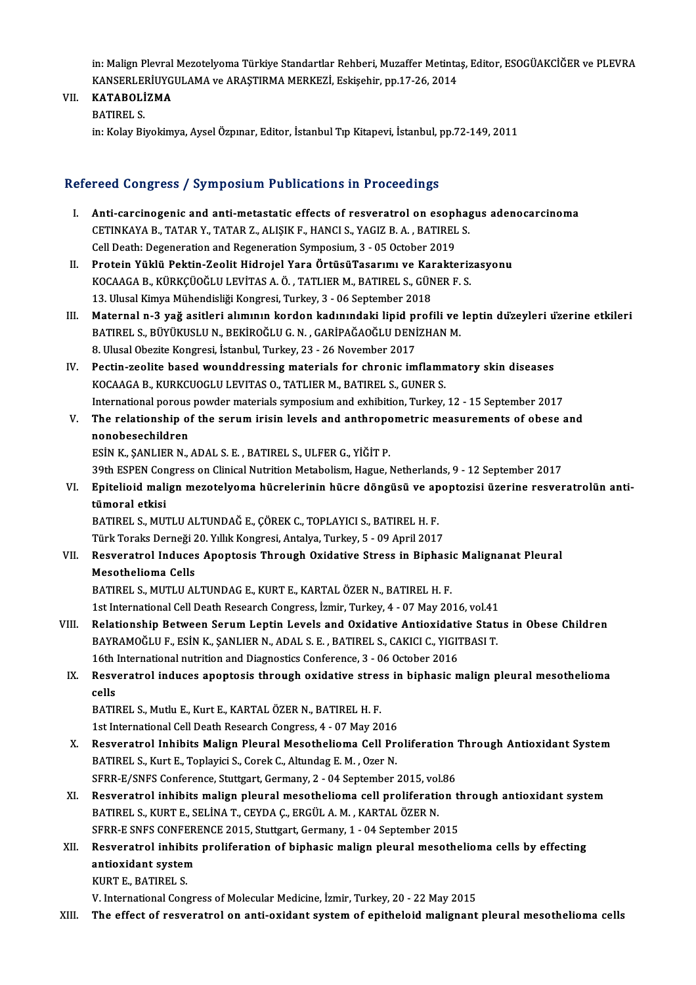in: Malign Plevral Mezotelyoma Türkiye Standartlar Rehberi, Muzaffer Metintaş, Editor, ESOGÜAKCİĞER ve PLEVRA<br>KANSERI ERİJIYCIJI AMA ve ARASTIRMA MERKEZİ, Eskisebin pp.17.26, 2014 in: Malign Plevral Mezotelyoma Türkiye Standartlar Rehberi, Muzaffer Metinta<br>KANSERLERİUYGULAMA ve ARAŞTIRMA MERKEZİ, Eskişehir, pp.17-26, 2014<br>KATAPOLİZMA KANSERLERİUYGULAMA ve ARAŞTIRMA MERKEZİ, Eskişehir, pp.17-26, 2014

## VII. KATABOLİZMA<br>BATIREL S.

in:KolayBiyokimya,AyselÖzpınar,Editor, İstanbulTıpKitapevi, İstanbul,pp.72-149,2011

### Refereed Congress / Symposium Publications in Proceedings

- efereed Congress / Symposium Publications in Proceedings<br>I. Anti-carcinogenic and anti-metastatic effects of resveratrol on esophagus adenocarcinoma<br>CETINKANA B TATAR V TATAR Z ALISIKE HANCLS VACIZE A PATIRELS Example 2008 of the University of the Microsofthe III is also<br>CETINKAYA B., TATAR Y., TATAR Z., ALIŞIK F., HANCI S., YAGIZ B.A., BATIREL S.<br>Call Death: Deseneration and Beseneration Sympesium 3 – 05 October 2019 Anti-carcinogenic and anti-metastatic effects of resveratrol on esoph<br>CETINKAYA B., TATAR Y., TATAR Z., ALIŞIK F., HANCI S., YAGIZ B. A. , BATIREL<br>Cell Death: Degeneration and Regeneration Symposium, 3 - 05 October 2019<br>Pr CETINKAYA B., TATAR Y., TATAR Z., ALIŞIK F., HANCI S., YAGIZ B. A. , BATIREL S.<br>Cell Death: Degeneration and Regeneration Symposium, 3 - 05 October 2019<br>II. Protein Yüklü Pektin-Zeolit Hidrojel Yara ÖrtüsüTasarımı ve K
- Cell Death: Degeneration and Regeneration Symposium, 3 05 October 2019<br>Protein Yüklü Pektin-Zeolit Hidrojel Yara ÖrtüsüTasarımı ve Karakteriz<br>KOCAAGA B., KÜRKÇÜOĞLU LEVİTAS A. Ö. , TATLIER M., BATIREL S., GÜNER F. S.<br>13 Protein Yüklü Pektin-Zeolit Hidrojel Yara ÖrtüsüTasarımı ve Kaı<br>KOCAAGA B., KÜRKÇÜOĞLU LEVİTAS A. Ö. , TATLIER M., BATIREL S., GÜN<br>13. Ulusal Kimya Mühendisliği Kongresi, Turkey, 3 - 06 September 2018<br>Matarnal n. 3. vağ as
- 13. Ulusal Kimya Mühendisliği Kongresi, Turkey, 3 06 September 2018<br>III. Maternal n-3 yağ asitleri alımının kordon kadınındaki lipid profili ve leptin düzeyleri üzerine etkileri 13. Ulusal Kimya Mühendisliği Kongresi, Turkey, 3 - 06 September 2018<br>Maternal n-3 yağ asitleri alımının kordon kadınındaki lipid profili ve<br>BATIREL S., BÜYÜKUSLU N., BEKİROĞLU G. N. , GARİPAĞAOĞLU DENİZHAN M.<br>8. Ulusal Ob Maternal n-3 yağ asitleri alımının kordon kadınındaki lipid pı<br>BATIREL S., BÜYÜKUSLU N., BEKİROĞLU G. N. , GARİPAĞAOĞLU DENİ<br>8. Ulusal Obezite Kongresi, İstanbul, Turkey, 23 - 26 November 2017<br>Pestin gealite based weynddre 8. Ulusal Obezite Kongresi, İstanbul, Turkey, 23 - 26 November 2017<br>IV. Pectin-zeolite based wounddressing materials for chronic imflammatory skin diseases
- KOCAAGA B., KURKCUOGLU LEVITAS O., TATLIER M., BATIREL S., GUNER S. International porous powder materials symposium and exhibition, Turkey, 12 - 15 September 2017 KOCAAGA B., KURKCUOGLU LEVITAS O., TATLIER M., BATIREL S., GUNER S.<br>International porous powder materials symposium and exhibition, Turkey, 12 - 15 September 2017<br>V. The relationship of the serum irisin levels and anthropo
- International porous<br>The relationship of<br>nonobesechildren<br>ESIN K. SANI IEP N The relationship of the serum irisin levels and anthropo<br>nonobesechildren<br>ESİN K., ŞANLIER N., ADAL S. E. , BATIREL S., ULFER G., YİĞİT P.<br>20th ESPEN Congress on Clinical Nutrition Metabolism, Hague I nonobesechildren<br>ESİN K., ŞANLIER N., ADAL S. E. , BATIREL S., ULFER G., YİĞİT P.<br>39th ESPEN Congress on Clinical Nutrition Metabolism, Hague, Netherlands, 9 - 12 September 2017

# ESİN K., ŞANLIER N., ADAL S. E. , BATIREL S., ULFER G., YİĞİT P.<br>39th ESPEN Congress on Clinical Nutrition Metabolism, Hague, Netherlands, 9 - 12 September 2017<br>VI. Epitelioid malign mezotelyoma hücrelerinin hücre döng 39th ESPEN Con<br><mark>Epitelioid mali</mark><br>tümoral etkisi<br>PATIPEL S. MIT Epitelioid malign mezotelyoma hücrelerinin hücre döngüsü ve ap<br>tümoral etkisi<br>BATIREL S., MUTLU ALTUNDAĞ E., ÇÖREK C., TOPLAYICI S., BATIREL H. F.<br>Türk Toraka Darnağı 20 Yıllık Kongresi Antakıa Turkay E., 00 Anril 2015

tümoral etkisi<br>BATIREL S., MUTLU ALTUNDAĞ E., ÇÖREK C., TOPLAYICI S., BATIREL H. F.<br>Türk Toraks Derneği 20. Yıllık Kongresi, Antalya, Turkey, 5 - 09 April 2017

BATIREL S., MUTLU ALTUNDAĞ E., ÇÖREK C., TOPLAYICI S., BATIREL H. F.<br>Türk Toraks Derneği 20. Yıllık Kongresi, Antalya, Turkey, 5 - 09 April 2017<br>VII. Resveratrol Induces Apoptosis Through Oxidative Stress in Biphasic Malig Türk Toraks Derneği 2<br>Resveratrol Induces<br>Mesothelioma Cells<br>RATIREL S. MUTULAL Resveratrol Induces Apoptosis Through Oxidative Stress in Biphasi<br>Mesothelioma Cells<br>BATIREL S., MUTLU ALTUNDAG E., KURT E., KARTAL ÖZER N., BATIREL H. F.<br>1st International Cell Death Bessarsk Congress Igmir Turkey 4, 07 M Mesothelioma Cells<br>BATIREL S., MUTLU ALTUNDAG E., KURT E., KARTAL ÖZER N., BATIREL H. F.<br>1st International Cell Death Research Congress, İzmir, Turkey, 4 - 07 May 2016, vol.41<br>Belationabin Betusen Senum Lantin Lavels and Q

- 1st International Cell Death Research Congress, İzmir, Turkey, 4 07 May 2016, vol.41<br>VIII. Relationship Between Serum Leptin Levels and Oxidative Antioxidative Status in Obese Children 1st International Cell Death Research Congress, İzmir, Turkey, 4 - 07 May 2016, vol.41<br>Relationship Between Serum Leptin Levels and Oxidative Antioxidative Stati<br>BAYRAMOĞLU F., ESİN K., ŞANLIER N., ADAL S. E. , BATIREL S., Relationship Between Serum Leptin Levels and Oxidative Antioxidati<br>BAYRAMOĞLU F., ESİN K., ŞANLIER N., ADAL S. E., BATIREL S., CAKICI C., YIGIT<br>16th International nutrition and Diagnostics Conference, 3 - 06 October 2016<br>B 16th International nutrition and Diagnostics Conference, 3 - 06 October 2016
	- IX. Resveratrol induces apoptosis through oxidative stress in biphasic malign pleural mesothelioma<br>cells cells<br>BATIREL S., Mutlu E., Kurt E., KARTAL ÖZER N., BATIREL H. F.<br>1st International Cell Death Research Congress, 4 - 07 May 2016<br>Besyspatrel Inhibits Malian Plaural Mesatheliama Cell Pre

BATIREL S., Mutlu E., Kurt E., KARTAL ÖZER N., BATIREL H. F.

- BATIREL S., Mutlu E., Kurt E., KARTAL ÖZER N., BATIREL H. F.<br>1st International Cell Death Research Congress, 4 07 May 2016<br>X. Resveratrol Inhibits Malign Pleural Mesothelioma Cell Proliferation Through Antioxidant System 1st International Cell Death Research Congress, 4 - 07 May 2016<br>Resveratrol Inhibits Malign Pleural Mesothelioma Cell Pro<br>BATIREL S., Kurt E., Toplayici S., Corek C., Altundag E. M. , Ozer N.<br>SEBB E/SNES Conforence Stuttge Resveratrol Inhibits Malign Pleural Mesothelioma Cell Proliferation<br>BATIREL S., Kurt E., Toplayici S., Corek C., Altundag E. M. , Ozer N.<br>SFRR-E/SNFS Conference, Stuttgart, Germany, 2 - 04 September 2015, vol.86<br>Besveratra BATIREL S., Kurt E., Toplayici S., Corek C., Altundag E. M. , Ozer N.<br>SFRR-E/SNFS Conference, Stuttgart, Germany, 2 - 04 September 2015, vol.86<br>XI. Resveratrol inhibits malign pleural mesothelioma cell proliferation th
- SFRR-E/SNFS Conference, Stuttgart, Germany, 2 04 September 2015, vol<br>Resveratrol inhibits malign pleural mesothelioma cell proliferation<br>BATIREL S., KURT E., SELİNA T., CEYDA Ç., ERGÜL A.M., KARTAL ÖZER N.<br>SERR E SNES CO Resveratrol inhibits malign pleural mesothelioma cell proliferation the BATIREL S., KURT E., SELINA T., CEYDA Ç., ERGÜL A. M. , KARTAL ÖZER N.<br>SFRR-E SNFS CONFERENCE 2015, Stuttgart, Germany, 1 - 04 September 2015<br>Besverat BATIREL S., KURT E., SELİNA T., CEYDA Ç., ERGÜL A. M. , KARTAL ÖZER N.<br>SFRR-E SNFS CONFERENCE 2015, Stuttgart, Germany, 1 - 04 September 2015<br>XII. Resveratrol inhibits proliferation of biphasic malign pleural mesotheli
- SFRR-E SNFS CONFER<br>Resveratrol inhibits<br>antioxidant system<br>FUPT E PATIPELS Resveratrol inhibi<br>antioxidant systen<br>KURT E., BATIREL S.<br>V. International Con antioxidant system<br>KURT E., BATIREL S.<br>V. International Congress of Molecular Medicine, İzmir, Turkey, 20 - 22 May 2015
	-

XIII. The effect of resveratrol on anti-oxidant system of epitheloid malignant pleural mesothelioma cells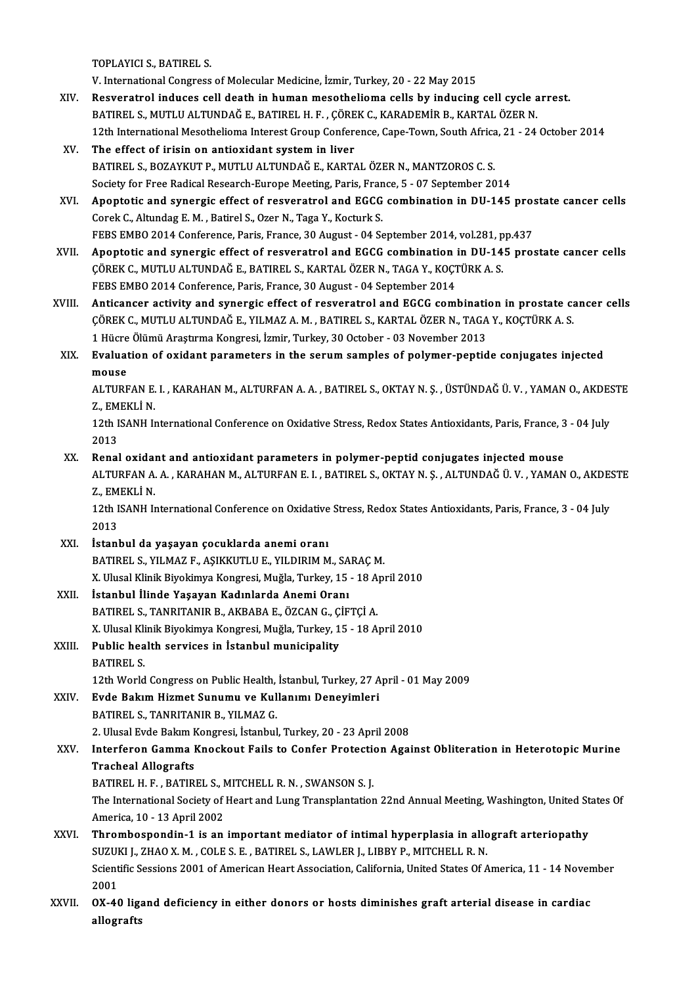TOPLAYICI S.,BATIREL S.

V. International Congress of Molecular Medicine, İzmir, Turkey, 20 - 22 May 2015

- TOPLAYICI S., BATIREL S.<br>V. International Congress of Molecular Medicine, İzmir, Turkey, 20 22 May 2015<br>XIV. Resveratrol induces cell death in human mesothelioma cells by inducing cell cycle arrest.<br>RATIREL S. MITH ILALT V. International Congress of Molecular Medicine, İzmir, Turkey, 20 - 22 May 2015<br>Resveratrol induces cell death in human mesothelioma cells by inducing cell cycle a<br>BATIREL S., MUTLU ALTUNDAĞ E., BATIREL H. F. , ÇÖREK C., Resveratrol induces cell death in human mesothelioma cells by inducing cell cycle arrest.<br>BATIREL S., MUTLU ALTUNDAĞ E., BATIREL H. F. , ÇÖREK C., KARADEMİR B., KARTAL ÖZER N.<br>12th International Mesothelioma Interest Group BATIREL S., MUTLU ALTUNDAĞ E., BATIREL H. F. , ÇÖREK C., KARADEMİR B., KARTAL ÖZER N.<br>12th International Mesothelioma Interest Group Conference, Cape-Town, South Africa, 21 - 24<br>XV. The effect of irisin on antioxidant syst
- 12th International Mesothelioma Interest Group Conference, Cape-Town, South Africa<br>The effect of irisin on antioxidant system in liver<br>BATIREL S., BOZAYKUT P., MUTLU ALTUNDAĞ E., KARTAL ÖZER N., MANTZOROS C. S.<br>Society for Society for Free Radical Research-Europe Meeting, Paris, France, 5 - 07 September 2014
- BATIREL S., BOZAYKUT P., MUTLU ALTUNDAĞ E., KARTAL ÖZER N., MANTZOROS C. S.<br>Society for Free Radical Research-Europe Meeting, Paris, France, 5 07 September 2014<br>XVI. Apoptotic and synergic effect of resveratrol and EGCG Corek C., Altundag E. M. , Batirel S., Ozer N., Taga Y., Kocturk S.<br>FEBS EMBO 2014 Conference, Paris, France, 30 August - 04 September 2014, vol.281, pp.437 Apoptotic and synergic effect of resveratrol and EGCG combination in DU-145 pros<br>Corek C., Altundag E. M. , Batirel S., Ozer N., Taga Y., Kocturk S.<br>FEBS EMBO 2014 Conference, Paris, France, 30 August - 04 September 2014,
- XVII. Apoptotic and synergic effect of resveratrol and EGCG combination in DU-145 prostate cancer cells ÇÖREK C., MUTLU ALTUNDAĞ E., BATIREL S., KARTAL ÖZER N., TAGA Y., KOÇTÜRK A. S. FEBS EMBO 2014 Conference, Paris, France, 30 August - 04 September 2014 CÖREK C., MUTLU ALTUNDAĞ E., BATIREL S., KARTAL ÖZER N., TAGA Y., KOÇTÜRK A. S.<br>FEBS EMBO 2014 Conference, Paris, France, 30 August - 04 September 2014<br>XVIII. Anticancer activity and synergic effect of resveratrol and EGCG
- FEBS EMBO 2014 Conference, Paris, France, 30 August 04 September 2014<br>Anticancer activity and synergic effect of resveratrol and EGCG combination in prostate ca<br>ÇÖREK C., MUTLU ALTUNDAĞ E., YILMAZ A. M. , BATIREL S., KAR Anticancer activity and synergic effect of resveratrol and EGCG combination<br>COREK C., MUTLU ALTUNDAĞ E., YILMAZ A. M. , BATIREL S., KARTAL ÖZER N., TAGA<br>1 Hücre Ölümü Araştırma Kongresi, İzmir, Turkey, 30 October - 03 Nove CÖREK C., MUTLU ALTUNDAĞ E., YILMAZ A. M. , BATIREL S., KARTAL ÖZER N., TAGA Y., KOÇTÜRK A. S.<br>1 Hücre Ölümü Araştırma Kongresi, İzmir, Turkey, 30 October - 03 November 2013<br>XIX. Evaluation of oxidant parameters in the
- 1 Hücre<br><mark>Evaluat</mark><br>mouse<br>ALTIDE Evaluation of oxidant parameters in the serum samples of polymer-peptide conjugates injected<br>mouse<br>ALTURFAN E. I. , KARAHAN M., ALTURFAN A. A. , BATIREL S., OKTAY N. Ş. , ÜSTÜNDAĞ Ü. V. , YAMAN O., AKDESTE<br>7. EMEKLİ N

mouse<br>ALTURFAN E.<br>Z., EMEKLİ N.<br>12th ISANH I. ALTURFAN E. I. , KARAHAN M., ALTURFAN A. A. , BATIREL S., OKTAY N. Ş. , ÜSTÜNDAĞ Ü. V. , YAMAN O., AKDES<br>Z., EMEKLİ N.<br>12th ISANH International Conference on Oxidative Stress, Redox States Antioxidants, Paris, France, 3 -

Z., EMEKLİ N.<br>12th ISANH International Conference on Oxidative Stress, Redox States Antioxidants, Paris, France, 3 - 04 July<br>2013 12th ISANH International Conference on Oxidative Stress, Redox States Antioxidants, Paris, France, 3<br>2013<br>XX. Renal oxidant and antioxidant parameters in polymer-peptid conjugates injected mouse

2013<br>Renal oxidant and antioxidant parameters in polymer-peptid conjugates injected mouse<br>ALTURFAN A. A. , KARAHAN M., ALTURFAN E. I. , BATIREL S., OKTAY N. Ş. , ALTUNDAĞ Ü. V. , YAMAN O., AKDESTE<br>7. EMEKLİ N Renal oxidal<br>ALTURFAN A.<br>Z., EMEKLİ N.<br>12th ISANH I. ALTURFAN A. A. , KARAHAN M., ALTURFAN E. I. , BATIREL S., OKTAY N. Ş. , ALTUNDAĞ Ü. V. , YAMAN O., AKDE.<br>Z., EMEKLİ N.<br>12th ISANH International Conference on Oxidative Stress, Redox States Antioxidants, Paris, France, 3 -

Z., EMEKLİ N.<br>12th ISANH International Conference on Oxidative Stress, Redox States Antioxidants, Paris, France, 3 - 04 July<br>2013

- XXI. İstanbul da yaşayan çocuklarda anemi oranı BATIREL S., YILMAZ F., AŞIKKUTLU E., YILDIRIM M., SARAÇM. X. Ulusal Klinik Biyokimya Kongresi, Muğla, Turkey, 15 - 18 April 2010
- XXII. İstanbul İlinde Yaşayan Kadınlarda Anemi Oranı BATIREL S., TANRITANIR B., AKBABA E., ÖZCAN G., ÇİFTÇİ A. X. Ulusal Klinik Biyokimya Kongresi, Muğla, Turkey, 15 - 18 April 2010 BATIREL S., TANRITANIR B., AKBABA E., ÖZCAN G., Ç.<br>X. Ulusal Klinik Biyokimya Kongresi, Muğla, Turkey, 1<br>XXIII. Public health services in İstanbul municipality
- X. Ulusal Kli<br>Public hea<br>BATIREL S.<br>12th World 12th World Congress on Public Health, İstanbul, Turkey, 27 April - 01 May 2009<br>12th World Congress on Public Health, İstanbul, Turkey, 27 April - 01 May 2009 BATIREL S.<br>12th World Congress on Public Health, İstanbul, Turkey, 27 A<br>XXIV. Evde Bakım Hizmet Sunumu ve Kullanımı Deneyimleri<br>PATIPEL S. TANPITANIP P. VII MAZ C.
- 12th World Congress on Public Health,<br>**Evde Bakım Hizmet Sunumu ve Kul**<br>BATIREL S., TANRITANIR B., YILMAZ G. Evde Bakım Hizmet Sunumu ve Kullanımı Deneyimleri<br>BATIREL S., TANRITANIR B., YILMAZ G.<br>2. Ulusal Evde Bakım Kongresi, İstanbul, Turkey, 20 - 23 April 2008<br>Interferen Camma Knoskout Fails te Canfor Protestian Agai

# BATIREL S., TANRITANIR B., YILMAZ G.<br>2. Ulusal Evde Bakım Kongresi, İstanbul, Turkey, 20 - 23 April 2008<br>XXV. Interferon Gamma Knockout Fails to Confer Protection Against Obliteration in Heterotopic Murine<br>Trasheal All 2. Ulusal Evde Bakım M<br>Interferon Gamma I<br>Tracheal Allografts<br>PATIPEL H E PATIP Interferon Gamma Knockout Fails to Confer Protection<br>Tracheal Allografts<br>BATIREL H. F. , BATIREL S., MITCHELL R. N. , SWANSON S. J.<br>The International Society of Heart and Lung Transplantation

BATIREL H. F., BATIREL S., MITCHELL R. N., SWANSON S. J.

Tracheal Allografts<br>BATIREL H. F. , BATIREL S., MITCHELL R. N. , SWANSON S. J.<br>The International Society of Heart and Lung Transplantation 22nd Annual Meeting, Washington, United States Of<br>America, 10 - 13 April 2002

## XXVI. Thrombospondin-1 is an important mediator of intimal hyperplasia in allograft arteriopathy America, 10 - 13 April 2002<br>Thrombospondin-1 is an important mediator of intimal hyperplasia in allo<br>SUZUKI J., ZHAO X. M. , COLE S. E. , BATIREL S., LAWLER J., LIBBY P., MITCHELL R. N.<br>Scientific Seccions 2001 of American Scientific Sessions 2001 of American Heart Association, California, United States Of America, 11 - 14 November<br>2001 SUZUI<br>Scient<br>2001<br>OX 40 Scientific Sessions 2001 of American Heart Association, California, United States Of America, 11 - 14 Nover<br>2001<br>XXVII. OX-40 ligand deficiency in either donors or hosts diminishes graft arterial disease in cardiac<br>allegra

2001<br><mark>OX-40</mark> lig:<br>allografts